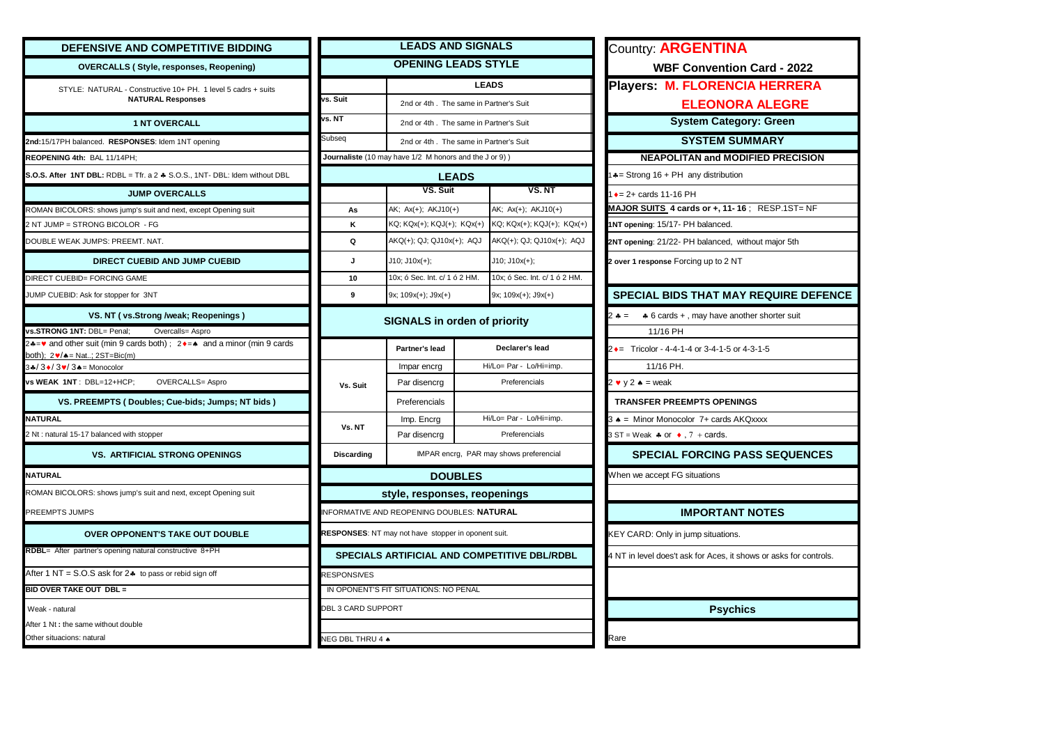| <b>DEFENSIVE AND COMPETITIVE BIDDING</b>                                                                  |                           | <b>LEADS AND SIGNALS</b>                               |                                                        |                                                     | <b>Country: ARGENTINA</b>                                         |  |
|-----------------------------------------------------------------------------------------------------------|---------------------------|--------------------------------------------------------|--------------------------------------------------------|-----------------------------------------------------|-------------------------------------------------------------------|--|
| <b>OVERCALLS (Style, responses, Reopening)</b>                                                            |                           | <b>OPENING LEADS STYLE</b>                             |                                                        |                                                     | <b>WBF Convention Card - 2022</b>                                 |  |
| STYLE: NATURAL - Constructive 10+ PH. 1 level 5 cadrs + suits                                             |                           | <b>LEADS</b>                                           |                                                        |                                                     | Players: M. FLORENCIA HERRERA                                     |  |
| <b>NATURAL Responses</b>                                                                                  | vs. Suit                  | 2nd or 4th. The same in Partner's Suit                 |                                                        |                                                     | <b>ELEONORA ALEGRE</b>                                            |  |
| <b>1 NT OVERCALL</b>                                                                                      | vs. NT                    | 2nd or 4th. The same in Partner's Suit                 |                                                        |                                                     | <b>System Category: Green</b>                                     |  |
| 2nd:15/17PH balanced. RESPONSES: Idem 1NT opening                                                         | Subseq                    | 2nd or 4th. The same in Partner's Suit                 |                                                        |                                                     | <b>SYSTEM SUMMARY</b>                                             |  |
| REOPENING 4th: BAL 11/14PH;                                                                               |                           | Journaliste (10 may have 1/2 M honors and the J or 9)) |                                                        |                                                     | <b>NEAPOLITAN and MODIFIED PRECISION</b>                          |  |
| S.O.S. After 1NT DBL: RDBL = Tfr. a 2 & S.O.S., 1NT- DBL: Idem without DBL                                |                           | <b>LEADS</b>                                           |                                                        |                                                     | $\triangle$ = Strong 16 + PH any distribution                     |  |
| <b>JUMP OVERCALLS</b>                                                                                     |                           | VS. Suit                                               |                                                        | VS. NT                                              | $\rightarrow$ = 2+ cards 11-16 PH                                 |  |
| ROMAN BICOLORS: shows jump's suit and next, except Opening suit                                           | As                        | AK; Ax(+); AKJ10(+)                                    |                                                        | AK; Ax(+); AKJ10(+)                                 | MAJOR SUITS 4 cards or +, 11-16 ; RESP.1ST= NF                    |  |
| 2 NT JUMP = STRONG BICOLOR - FG                                                                           | κ                         | KQ; KQx(+); KQJ(+); KQx(+)                             | KQ; KQx(+); KQJ(+); KQx(+)                             |                                                     | 1NT opening: 15/17- PH balanced.                                  |  |
| DOUBLE WEAK JUMPS: PREEMT. NAT.                                                                           | Q                         |                                                        | AKQ(+); QJ; QJ10x(+); AQJ<br>AKQ(+); QJ; QJ10x(+); AQJ |                                                     | 2NT opening: 21/22- PH balanced, without major 5th                |  |
| DIRECT CUEBID AND JUMP CUEBID                                                                             | J                         | $J10$ ; $J10x(+)$ ;<br>$J10$ ; $J10x(+)$ ;             |                                                        |                                                     | 2 over 1 response Forcing up to 2 NT                              |  |
| DIRECT CUEBID= FORCING GAME                                                                               | 10                        | 10x; ó Sec. Int. c/ 1 ó 2 HM.                          |                                                        | 10x; ó Sec. Int. c/ 1 ó 2 HM.                       |                                                                   |  |
| JUMP CUEBID: Ask for stopper for 3NT                                                                      | 9                         | $9x$ ; $109x(+)$ ; $J9x(+)$                            |                                                        | 9x; 109x(+); J9x(+)                                 | <b>SPECIAL BIDS THAT MAY REQUIRE DEFENCE</b>                      |  |
| VS. NT (vs.Strong /weak; Reopenings)                                                                      |                           |                                                        |                                                        |                                                     | * 6 cards +, may have another shorter suit<br>$2 - 1 = 2$         |  |
| s.STRONG 1NT: DBL= Penal;<br>Overcalls= Aspro                                                             |                           | <b>SIGNALS</b> in orden of priority                    |                                                        |                                                     | 11/16 PH                                                          |  |
| += v and other suit (min 9 cards both) ; 2 + = 4 and a minor (min 9 cards<br>ooth); 2♥/♠= Nat; 2ST=Bic(m) |                           | Partner's lead                                         |                                                        | Declarer's lead                                     | 2 $\bullet$ = Tricolor - 4-4-1-4 or 3-4-1-5 or 4-3-1-5            |  |
| $4/3/3/3/3$ = Monocolor                                                                                   |                           | Impar encrg                                            |                                                        | Hi/Lo= Par - Lo/Hi=imp.                             | 11/16 PH.                                                         |  |
| vs WEAK 1NT: DBL=12+HCP;<br><b>OVERCALLS= Aspro</b>                                                       | Vs. Suit                  | Par disencrg                                           | Preferencials                                          |                                                     | $2 \cdot y 2 \cdot =$ weak                                        |  |
| VS. PREEMPTS (Doubles; Cue-bids; Jumps; NT bids)                                                          |                           | Preferencials                                          |                                                        |                                                     | <b>TRANSFER PREEMPTS OPENINGS</b>                                 |  |
| <b>NATURAL</b>                                                                                            |                           | Hi/Lo= Par - Lo/Hi=imp.<br>Imp. Encrg                  |                                                        |                                                     | 3 A = Minor Monocolor 7+ cards AKQxxxx                            |  |
| 2 Nt: natural 15-17 balanced with stopper                                                                 | Vs. NT                    | Par disencrg                                           |                                                        | Preferencials                                       | $3ST = Weak$ * or $\bullet$ , 7 + cards.                          |  |
| <b>VS. ARTIFICIAL STRONG OPENINGS</b>                                                                     | <b>Discarding</b>         | IMPAR encrg, PAR may shows preferencial                |                                                        |                                                     | <b>SPECIAL FORCING PASS SEQUENCES</b>                             |  |
| <b>NATURAL</b>                                                                                            |                           | <b>DOUBLES</b>                                         |                                                        |                                                     | When we accept FG situations                                      |  |
| ROMAN BICOLORS: shows jump's suit and next, except Opening suit                                           |                           | style, responses, reopenings                           |                                                        |                                                     |                                                                   |  |
| PREEMPTS JUMPS                                                                                            |                           | NFORMATIVE AND REOPENING DOUBLES: NATURAL              |                                                        |                                                     | <b>IMPORTANT NOTES</b>                                            |  |
| OVER OPPONENT'S TAKE OUT DOUBLE                                                                           |                           | RESPONSES: NT may not have stopper in oponent suit.    |                                                        |                                                     | KEY CARD: Only in jump situations.                                |  |
| RDBL= After partner's opening natural constructive 8+PH                                                   |                           |                                                        |                                                        | <b>SPECIALS ARTIFICIAL AND COMPETITIVE DBL/RDBL</b> | 4 NT in level does't ask for Aces, it shows or asks for controls. |  |
| After 1 NT = $S.O.S$ ask for $2$ $\bullet$ to pass or rebid sign off                                      | RESPONSIVES               |                                                        |                                                        |                                                     |                                                                   |  |
| <b>BID OVER TAKE OUT DBL =</b>                                                                            |                           | IN OPONENT'S FIT SITUATIONS: NO PENAL                  |                                                        |                                                     |                                                                   |  |
| Weak - natural                                                                                            | <b>DBL 3 CARD SUPPORT</b> |                                                        |                                                        |                                                     | <b>Psychics</b>                                                   |  |
| After 1 Nt : the same without double                                                                      |                           |                                                        |                                                        |                                                     |                                                                   |  |
| Other situacions: natural                                                                                 | NEG DBL THRU 4 +          |                                                        |                                                        |                                                     | Rare                                                              |  |

| Country: <b>ARGENTINA</b>                                         |  |  |  |  |  |  |  |
|-------------------------------------------------------------------|--|--|--|--|--|--|--|
| <b>WBF Convention Card - 2022</b>                                 |  |  |  |  |  |  |  |
| Players: M. FLORENCIA HERRERA                                     |  |  |  |  |  |  |  |
| <b>ELEONORA ALEGRE</b>                                            |  |  |  |  |  |  |  |
| <b>System Category: Green</b>                                     |  |  |  |  |  |  |  |
| <b>SYSTEM SUMMARY</b>                                             |  |  |  |  |  |  |  |
| <b>NEAPOLITAN and MODIFIED PRECISION</b>                          |  |  |  |  |  |  |  |
| 14 = Strong 16 + PH any distribution                              |  |  |  |  |  |  |  |
| 1 • = 2+ cards 11-16 PH                                           |  |  |  |  |  |  |  |
| MAJOR SUITS 4 cards or +, 11-16; RESP.1ST=NF                      |  |  |  |  |  |  |  |
| 1NT opening: 15/17- PH balanced.                                  |  |  |  |  |  |  |  |
| 2NT opening: 21/22- PH balanced, without major 5th                |  |  |  |  |  |  |  |
| 2 over 1 response Forcing up to 2 NT                              |  |  |  |  |  |  |  |
|                                                                   |  |  |  |  |  |  |  |
| <b>SPECIAL BIDS THAT MAY REQUIRE DEFENCE</b>                      |  |  |  |  |  |  |  |
| * 6 cards +, may have another shorter suit<br>2 ♣ =               |  |  |  |  |  |  |  |
| 11/16 PH                                                          |  |  |  |  |  |  |  |
| 2 $\bullet$ = Tricolor - 4-4-1-4 or 3-4-1-5 or 4-3-1-5            |  |  |  |  |  |  |  |
| 11/16 PH.                                                         |  |  |  |  |  |  |  |
| 2 $\bullet$ y 2 $\bullet$ = weak                                  |  |  |  |  |  |  |  |
| <b>TRANSFER PREEMPTS OPENINGS</b>                                 |  |  |  |  |  |  |  |
| 3 + = Minor Monocolor 7+ cards AKQxxxx                            |  |  |  |  |  |  |  |
| $3ST = Weak * or * , 7 + cards.$                                  |  |  |  |  |  |  |  |
| <b>SPECIAL FORCING PASS SEQUENCES</b>                             |  |  |  |  |  |  |  |
| When we accept FG situations                                      |  |  |  |  |  |  |  |
|                                                                   |  |  |  |  |  |  |  |
| <b>IMPORTANT NOTES</b>                                            |  |  |  |  |  |  |  |
| KEY CARD: Only in jump situations.                                |  |  |  |  |  |  |  |
| 4 NT in level does't ask for Aces, it shows or asks for controls. |  |  |  |  |  |  |  |
|                                                                   |  |  |  |  |  |  |  |
| <b>Psychics</b>                                                   |  |  |  |  |  |  |  |
| Rare                                                              |  |  |  |  |  |  |  |
|                                                                   |  |  |  |  |  |  |  |